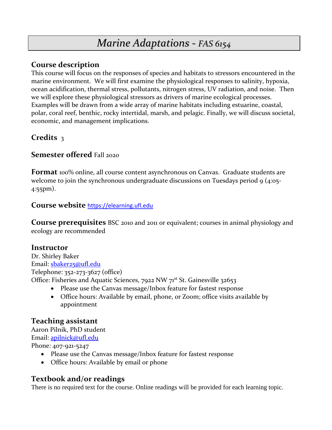# *Marine Adaptations - FAS 6154*

## **Course description**

This course will focus on the responses of species and habitats to stressors encountered in the marine environment. We will first examine the physiological responses to salinity, hypoxia, ocean acidification, thermal stress, pollutants, nitrogen stress, UV radiation, and noise. Then we will explore these physiological stressors as drivers of marine ecological processes. Examples will be drawn from a wide array of marine habitats including estuarine, coastal, polar, coral reef, benthic, rocky intertidal, marsh, and pelagic. Finally, we will discuss societal, economic, and management implications.

# **Credits** 3

# **Semester offered** Fall 2020

**Format** 100% online, all course content asynchronous on Canvas. Graduate students are welcome to join the synchronous undergraduate discussions on Tuesdays period 9 (4:05-4:55pm).

## **Course website** [https://elearning.ufl.edu](https://elearning.ufl.edu/)

**Course prerequisites** BSC 2010 and 2011 or equivalent; courses in animal physiology and ecology are recommended

# **Instructor**

Dr. Shirley Baker Email: [sbaker25@ufl.edu](mailto:sbaker25@ufl.edu) Telephone: 352-273-3627 (office) Office: Fisheries and Aquatic Sciences, 7922 NW 71<sup>st</sup> St. Gainesville 32653

- Please use the Canvas message/Inbox feature for fastest response
- Office hours: Available by email, phone, or Zoom; office visits available by appointment

# **Teaching assistant**

Aaron Pilnik, PhD student Email: [apilnick@ufl.edu](mailto:apilnick@ufl.edu) Phone: 407-921-5247

- Please use the Canvas message/Inbox feature for fastest response
- Office hours: Available by email or phone

# **Textbook and/or readings**

There is no required text for the course. Online readings will be provided for each learning topic.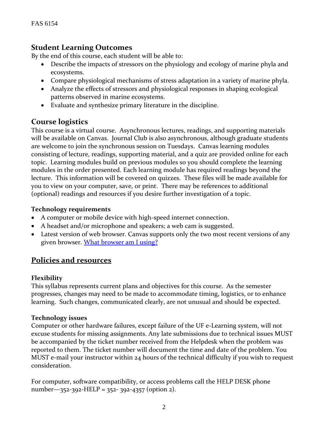# **Student Learning Outcomes**

By the end of this course, each student will be able to:

- Describe the impacts of stressors on the physiology and ecology of marine phyla and ecosystems.
- Compare physiological mechanisms of stress adaptation in a variety of marine phyla.
- Analyze the effects of stressors and physiological responses in shaping ecological patterns observed in marine ecosystems.
- Evaluate and synthesize primary literature in the discipline.

# **Course logistics**

This course is a virtual course. Asynchronous lectures, readings, and supporting materials will be available on Canvas. Journal Club is also asynchronous, although graduate students are welcome to join the synchronous session on Tuesdays. Canvas learning modules consisting of lecture, readings, supporting material, and a quiz are provided online for each topic. Learning modules build on previous modules so you should complete the learning modules in the order presented. Each learning module has required readings beyond the lecture. This information will be covered on quizzes. These files will be made available for you to view on your computer, save, or print. There may be references to additional (optional) readings and resources if you desire further investigation of a topic.

## **Technology requirements**

- A computer or mobile device with high-speed internet connection.
- A headset and/or microphone and speakers; a web cam is suggested.
- Latest version of web browser. Canvas supports only the two most recent versions of any given browser. [What browser am I using?](http://whatbrowser.org/)

# **Policies and resources**

## **Flexibility**

This syllabus represents current plans and objectives for this course. As the semester progresses, changes may need to be made to accommodate timing, logistics, or to enhance learning. Such changes, communicated clearly, are not unusual and should be expected.

#### **Technology issues**

Computer or other hardware failures, except failure of the UF e-Learning system, will not excuse students for missing assignments. Any late submissions due to technical issues MUST be accompanied by the ticket number received from the Helpdesk when the problem was reported to them. The ticket number will document the time and date of the problem. You MUST e-mail your instructor within 24 hours of the technical difficulty if you wish to request consideration.

For computer, software compatibility, or access problems call the HELP DESK phone number—352-392-HELP = 352- 392-4357 (option 2).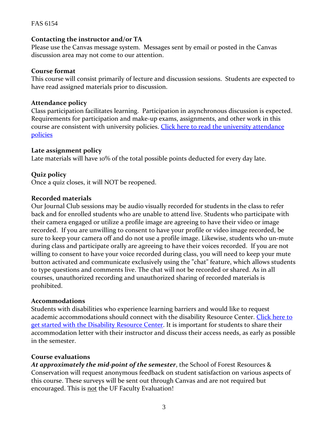#### FAS 6154

#### **Contacting the instructor and/or TA**

Please use the Canvas message system. Messages sent by email or posted in the Canvas discussion area may not come to our attention.

#### **Course format**

This course will consist primarily of lecture and discussion sessions. Students are expected to have read assigned materials prior to discussion.

#### **Attendance policy**

Class participation facilitates learning. Participation in asynchronous discussion is expected. Requirements for participation and make-up exams, assignments, and other work in this course are consistent with university policies. Click here to read the university attendance [policies](file:///C:/Users/lilyrlewis/AppData/Local/Microsoft/Windows/INetCache/Content.Outlook/LU96BFUU/catalog.ufl.edu/UGRD/academic-regulations/attendance-policies/)

#### **Late assignment policy**

Late materials will have 10% of the total possible points deducted for every day late.

## **Quiz policy**

Once a quiz closes, it will NOT be reopened.

#### **Recorded materials**

Our Journal Club sessions may be audio visually recorded for students in the class to refer back and for enrolled students who are unable to attend live. Students who participate with their camera engaged or utilize a profile image are agreeing to have their video or image recorded. If you are unwilling to consent to have your profile or video image recorded, be sure to keep your camera off and do not use a profile image. Likewise, students who un-mute during class and participate orally are agreeing to have their voices recorded. If you are not willing to consent to have your voice recorded during class, you will need to keep your mute button activated and communicate exclusively using the "chat" feature, which allows students to type questions and comments live. The chat will not be recorded or shared. As in all courses, unauthorized recording and unauthorized sharing of recorded materials is prohibited.

#### **Accommodations**

Students with disabilities who experience learning barriers and would like to request academic accommodations should connect with the disability Resource Center. [Click here to](https://disability.ufl.edu/students/get-started/)  [get started with the Disability Resource Center.](https://disability.ufl.edu/students/get-started/) It is important for students to share their accommodation letter with their instructor and discuss their access needs, as early as possible in the semester.

#### **Course evaluations**

*At approximately the mid-point of the semester*, the School of Forest Resources & Conservation will request anonymous feedback on student satisfaction on various aspects of this course. These surveys will be sent out through Canvas and are not required but encouraged. This is not the UF Faculty Evaluation!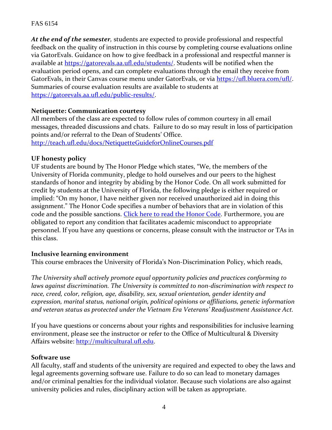#### FAS 6154

*At the end of the semester,* students are expected to provide professional and respectful feedback on the quality of instruction in this course by completing course evaluations online via GatorEvals. Guidance on how to give feedback in a professional and respectful manner is available at [https://gatorevals.aa.ufl.edu/students/.](https://gatorevals.aa.ufl.edu/students/) Students will be notified when the evaluation period opens, and can complete evaluations through the email they receive from GatorEvals, in their Canvas course menu under GatorEvals, or via [https://ufl.bluera.com/ufl/.](https://ufl.bluera.com/ufl/) Summaries of course evaluation results are available to students at [https://gatorevals.aa.ufl.edu/public-results/.](https://gatorevals.aa.ufl.edu/public-results/)

## **Netiquette: Communication courtesy**

All members of the class are expected to follow rules of common courtesy in all email messages, threaded discussions and chats. Failure to do so may result in loss of participation points and/or referral to the Dean of Students' Office.

<http://teach.ufl.edu/docs/NetiquetteGuideforOnlineCourses.pdf>

#### **UF honesty policy**

UF students are bound by The Honor Pledge which states, "We, the members of the University of Florida community, pledge to hold ourselves and our peers to the highest standards of honor and integrity by abiding by the Honor Code. On all work submitted for credit by students at the University of Florida, the following pledge is either required or implied: "On my honor, I have neither given nor received unauthorized aid in doing this assignment." The Honor Code specifies a number of behaviors that are in violation of this code and the possible sanctions. [Click here to read the Honor](https://sccr.dso.ufl.edu/process/student-conduct-code/) Code. Furthermore, you are obligated to report any condition that facilitates academic misconduct to appropriate personnel. If you have any questions or concerns, please consult with the instructor or TAs in this class.

#### **Inclusive learning environment**

This course embraces the University of Florida's Non-Discrimination Policy, which reads,

*The University shall actively promote equal opportunity policies and practices conforming to laws against discrimination. The University is committed to non-discrimination with respect to race, creed, color, religion, age, disability, sex, sexual orientation, gender identity and expression, marital status, national origin, political opinions or affiliations, genetic information and veteran status as protected under the Vietnam Era Veterans' Readjustment Assistance Act.*

If you have questions or concerns about your rights and responsibilities for inclusive learning environment, please see the instructor or refer to the Office of Multicultural & Diversity Affairs website: [http://multicultural.ufl.edu.](http://multicultural.ufl.edu/)

#### **Software use**

All faculty, staff and students of the university are required and expected to obey the laws and legal agreements governing software use. Failure to do so can lead to monetary damages and/or criminal penalties for the individual violator. Because such violations are also against university policies and rules, disciplinary action will be taken as appropriate.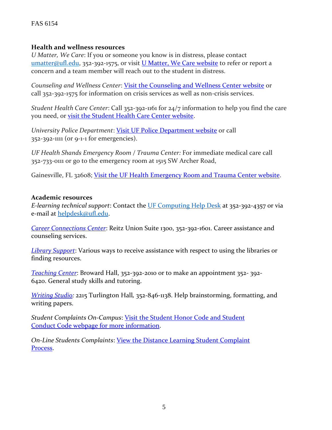#### FAS 6154

#### **Health and wellness resources**

*U Matter, We Care*: If you or someone you know is in distress, please contact [umatter@ufl.edu, 3](mailto:umatter@ufl.edu)52-392-1575, or visit [U Matter, We Care website](https://umatter.ufl.edu/) to refer or report a concern and a team member will reach out to the student in distress.

*Counseling and Wellness Center*: [Visit the Counseling and Wellness Center website](https://counseling.ufl.edu/) or call 352-392-1575 for information on crisis services as well as non-crisis services.

*Student Health Care Center*: Call 352-392-1161 for 24/7 information to help you find the care you need, or [visit the Student Health Care Center website.](https://shcc.ufl.edu/)

*University Police Department*: [Visit UF Police Department website](https://police.ufl.edu/) or call 352-392-1111 (or 9-1-1 for emergencies).

*UF Health Shands Emergency Room / Trauma Center:* For immediate medical care call 352-733-0111 or go to the emergency room at 1515 SW Archer Road,

Gainesville, FL 32608; [Visit the UF Health Emergency Room and Trauma Center website.](https://ufhealth.org/emergency-room-trauma-center)

#### **Academic resources**

*E-learning technical support*: Contact the [UF Computing Help Desk](http://helpdesk.ufl.edu/) at 352-392-4357 or via e-mail at [helpdesk@ufl.edu.](mailto:helpdesk@ufl.edu)

*[Career Connections Center](https://career.ufl.edu/)*: Reitz Union Suite 1300, 352-392-1601. Career assistance and counseling services.

*[Library Support](https://cms.uflib.ufl.edu/ask)*: Various ways to receive assistance with respect to using the libraries or finding resources.

*[Teaching Center](https://teachingcenter.ufl.edu/)*: Broward Hall, 352-392-2010 or to make an appointment 352- 392- 6420. General study skills and tutoring.

*[Writing Studio:](file:///C:/Users/sbaker25/Downloads/writing.ufl.edu/writing-studio/)* 2215 Turlington Hall*,* 352-846-1138. Help brainstorming, formatting, and writing papers.

*Student Complaints On-Campus*: [Visit the Student Honor Code and Student](https://sccr.dso.ufl.edu/policies/student-honor-%20code-student-conduct-code/)  [Conduct Code webpage for more information.](https://sccr.dso.ufl.edu/policies/student-honor-%20code-student-conduct-code/)

*On-Line Students Complaints*: [View the Distance Learning Student Complaint](https://distance.ufl.edu/getting-help/student-complaint-process/)  [Process.](https://distance.ufl.edu/getting-help/student-complaint-process/)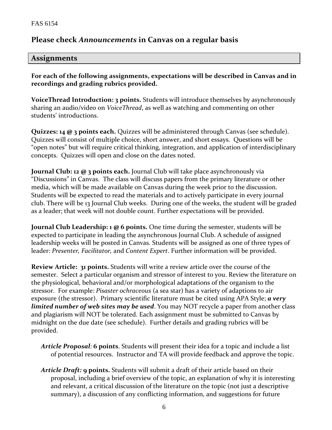# **Please check** *Announcements* **in Canvas on a regular basis**

## **Assignments**

**For each of the following assignments, expectations will be described in Canvas and in recordings and grading rubrics provided.** 

**VoiceThread Introduction: 3 points.** Students will introduce themselves by asynchronously sharing an audio/video on *VoiceThread*, as well as watching and commenting on other students' introductions.

**Quizzes: 14 @ 3 points each.** Quizzes will be administered through Canvas (see schedule). Quizzes will consist of multiple choice, short answer, and short essays. Questions will be "open notes" but will require critical thinking, integration, and application of interdisciplinary concepts. Quizzes will open and close on the dates noted.

**Journal Club: 12 @ 3 points each.** Journal Club will take place asynchronously via "Discussions" in Canvas. The class will discuss papers from the primary literature or other media, which will be made available on Canvas during the week prior to the discussion. Students will be expected to read the materials and to actively participate in every journal club. There will be 13 Journal Club weeks. During one of the weeks, the student will be graded as a leader; that week will not double count. Further expectations will be provided.

**Journal Club Leadership: 1 @ 6 points.** One time during the semester, students will be expected to participate in leading the asynchronous Journal Club. A schedule of assigned leadership weeks will be posted in Canvas. Students will be assigned as one of three types of leader: *Presenter, Facilitator,* and *Content Expert*. Further information will be provided.

**Review Article: 31 points.** Students will write a review article over the course of the semester. Select a particular organism and stressor of interest to you. Review the literature on the physiological, behavioral and/or morphological adaptations of the organism to the stressor. For example: *Pisaster ochraceous* (a sea star) has a variety of adaptions to air exposure (the stressor). Primary scientific literature must be cited using APA Style; *a very limited number of web sites may be used*. You may NOT recycle a paper from another class and plagiarism will NOT be tolerated. Each assignment must be submitted to Canvas by midnight on the due date (see schedule). Further details and grading rubrics will be provided.

- *Article Proposal:* **6 points**. Students will present their idea for a topic and include a list of potential resources. Instructor and TA will provide feedback and approve the topic.
- *Article Draft:* **9 points.** Students will submit a draft of their article based on their proposal, including a brief overview of the topic, an explanation of why it is interesting and relevant, a critical discussion of the literature on the topic (not just a descriptive summary), a discussion of any conflicting information, and suggestions for future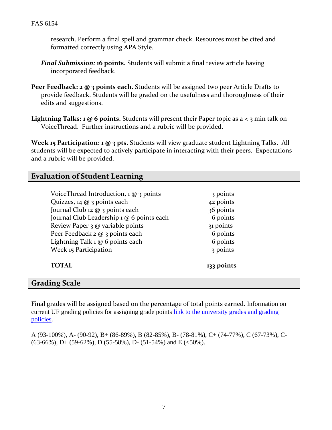research. Perform a final spell and grammar check. Resources must be cited and formatted correctly using APA Style.

- *Final Submission:* **16 points.** Students will submit a final review article having incorporated feedback.
- **Peer Feedback: 2 @ 3 points each.** Students will be assigned two peer Article Drafts to provide feedback. Students will be graded on the usefulness and thoroughness of their edits and suggestions.
- Lightning Talks: 1 @ 6 points. Students will present their Paper topic as a < 3 min talk on VoiceThread. Further instructions and a rubric will be provided.

**Week 15 Participation: 1 @ 3 pts.** Students will view graduate student Lightning Talks. All students will be expected to actively participate in interacting with their peers. Expectations and a rubric will be provided.

## **Evaluation of Student Learning**

| <b>TOTAL</b>                                  | 133 points |
|-----------------------------------------------|------------|
| Week 15 Participation                         | 3 points   |
| Lightning Talk 1 @ 6 points each              | 6 points   |
| Peer Feedback 2 @ 3 points each               | 6 points   |
| Review Paper 3 @ variable points              | 31 points  |
| Journal Club Leadership 1 @ 6 points each     | 6 points   |
| Journal Club 12 @ 3 points each               | 36 points  |
| Quizzes, 14 $@$ 3 points each                 | 42 points  |
| VoiceThread Introduction, $1 \omega$ 3 points | 3 points   |
|                                               |            |

#### **Grading Scale**

Final grades will be assigned based on the percentage of total points earned. Information on current UF grading policies for assigning grade points [link to the university grades and grading](https://catalog.ufl.edu/UGRD/academic-regulations/grades-grading-policies/)  [policies.](https://catalog.ufl.edu/UGRD/academic-regulations/grades-grading-policies/)

A (93-100%), A- (90-92), B+ (86-89%), B (82-85%), B- (78-81%), C+ (74-77%), C (67-73%), C-  $(63-66\%)$ , D+ $(59-62\%)$ , D $(55-58\%)$ , D- $(51-54\%)$  and E $(\leq 50\%)$ .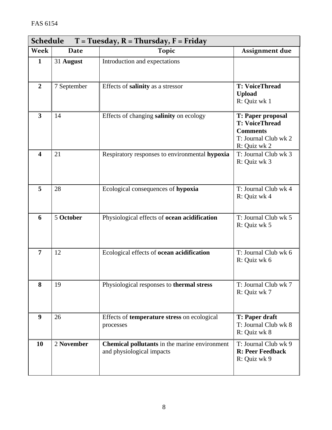| <b>Schedule</b><br>$T = Tuesday, R = Thursday, F = Friday$ |             |                                                                                   |                                                                                                              |  |  |
|------------------------------------------------------------|-------------|-----------------------------------------------------------------------------------|--------------------------------------------------------------------------------------------------------------|--|--|
| Week                                                       | <b>Date</b> | <b>Topic</b>                                                                      | <b>Assignment due</b>                                                                                        |  |  |
| $\mathbf{1}$                                               | 31 August   | Introduction and expectations                                                     |                                                                                                              |  |  |
| $\overline{2}$                                             | 7 September | Effects of salinity as a stressor                                                 | <b>T: VoiceThread</b><br><b>Upload</b><br>R: Quiz wk 1                                                       |  |  |
| $\overline{\mathbf{3}}$                                    | 14          | Effects of changing salinity on ecology                                           | <b>T: Paper proposal</b><br><b>T: VoiceThread</b><br><b>Comments</b><br>T: Journal Club wk 2<br>R: Quiz wk 2 |  |  |
| $\overline{\mathbf{4}}$                                    | 21          | Respiratory responses to environmental hypoxia                                    | T: Journal Club wk 3<br>R: Quiz wk 3                                                                         |  |  |
| 5                                                          | 28          | Ecological consequences of hypoxia                                                | T: Journal Club wk 4<br>R: Quiz wk 4                                                                         |  |  |
| 6                                                          | 5 October   | Physiological effects of ocean acidification                                      | T: Journal Club wk 5<br>R: Quiz wk 5                                                                         |  |  |
| 7                                                          | 12          | Ecological effects of ocean acidification                                         | T: Journal Club wk 6<br>R: Quiz wk 6                                                                         |  |  |
| 8                                                          | 19          | Physiological responses to thermal stress                                         | T: Journal Club wk 7<br>R: Quiz wk 7                                                                         |  |  |
| 9                                                          | 26          | Effects of <b>temperature stress</b> on ecological<br>processes                   | <b>T: Paper draft</b><br>T: Journal Club wk 8<br>R: Quiz wk 8                                                |  |  |
| 10                                                         | 2 November  | <b>Chemical pollutants</b> in the marine environment<br>and physiological impacts | T: Journal Club wk 9<br><b>R: Peer Feedback</b><br>R: Quiz wk 9                                              |  |  |